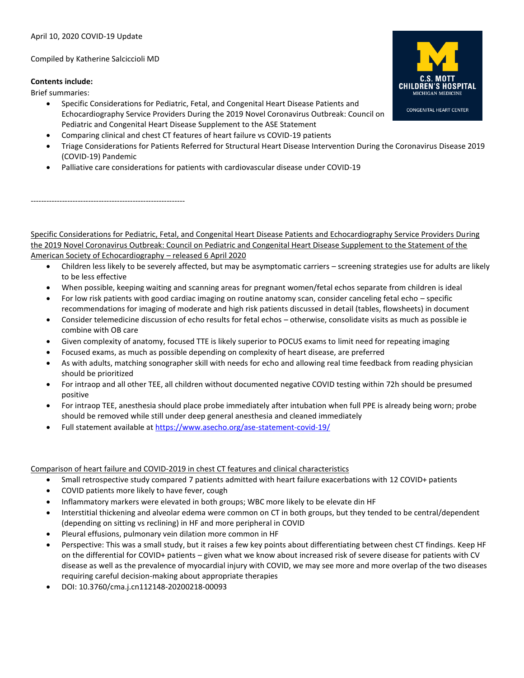## Compiled by Katherine Salciccioli MD

-----------------------------------------------------------

## **Contents include:**

Brief summaries:

- Specific Considerations for Pediatric, Fetal, and Congenital Heart Disease Patients and Echocardiography Service Providers During the 2019 Novel Coronavirus Outbreak: Council on Pediatric and Congenital Heart Disease Supplement to the ASE Statement
- Comparing clinical and chest CT features of heart failure vs COVID-19 patients
- Triage Considerations for Patients Referred for Structural Heart Disease Intervention During the Coronavirus Disease 2019 (COVID-19) Pandemic
- Palliative care considerations for patients with cardiovascular disease under COVID-19

Specific Considerations for Pediatric, Fetal, and Congenital Heart Disease Patients and Echocardiography Service Providers During the 2019 Novel Coronavirus Outbreak: Council on Pediatric and Congenital Heart Disease Supplement to the Statement of the American Society of Echocardiography – released 6 April 2020

- Children less likely to be severely affected, but may be asymptomatic carriers screening strategies use for adults are likely to be less effective
- When possible, keeping waiting and scanning areas for pregnant women/fetal echos separate from children is ideal
- For low risk patients with good cardiac imaging on routine anatomy scan, consider canceling fetal echo specific recommendations for imaging of moderate and high risk patients discussed in detail (tables, flowsheets) in document
- Consider telemedicine discussion of echo results for fetal echos otherwise, consolidate visits as much as possible ie combine with OB care
- Given complexity of anatomy, focused TTE is likely superior to POCUS exams to limit need for repeating imaging
- Focused exams, as much as possible depending on complexity of heart disease, are preferred
- As with adults, matching sonographer skill with needs for echo and allowing real time feedback from reading physician should be prioritized
- For intraop and all other TEE, all children without documented negative COVID testing within 72h should be presumed positive
- For intraop TEE, anesthesia should place probe immediately after intubation when full PPE is already being worn; probe should be removed while still under deep general anesthesia and cleaned immediately
- Full statement available a[t https://www.asecho.org/ase-statement-covid-19/](https://www.asecho.org/ase-statement-covid-19/)

Comparison of heart failure and COVID-2019 in chest CT features and clinical characteristics

- Small retrospective study compared 7 patients admitted with heart failure exacerbations with 12 COVID+ patients
- COVID patients more likely to have fever, cough
- Inflammatory markers were elevated in both groups; WBC more likely to be elevate din HF
- Interstitial thickening and alveolar edema were common on CT in both groups, but they tended to be central/dependent (depending on sitting vs reclining) in HF and more peripheral in COVID
- Pleural effusions, pulmonary vein dilation more common in HF
- Perspective: This was a small study, but it raises a few key points about differentiating between chest CT findings. Keep HF on the differential for COVID+ patients – given what we know about increased risk of severe disease for patients with CV disease as well as the prevalence of myocardial injury with COVID, we may see more and more overlap of the two diseases requiring careful decision-making about appropriate therapies
- DOI: 10.3760/cma.j.cn112148-20200218-00093